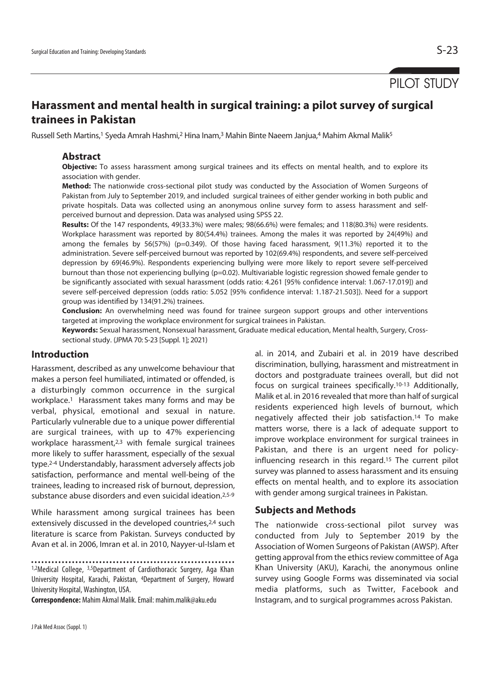# PILOT STUDY

# **Harassment and mental health in surgical training: a pilot survey of surgical trainees in Pakistan**

Russell Seth Martins,<sup>1</sup> Syeda Amrah Hashmi,<sup>2</sup> Hina Inam,<sup>3</sup> Mahin Binte Naeem Janjua,<sup>4</sup> Mahim Akmal Malik<sup>5</sup>

# **Abstract**

**Objective:** To assess harassment among surgical trainees and its effects on mental health, and to explore its association with gender.

**Method:** The nationwide cross-sectional pilot study was conducted by the Association of Women Surgeons of Pakistan from July to September 2019, and included surgical trainees of either gender working in both public and private hospitals. Data was collected using an anonymous online survey form to assess harassment and selfperceived burnout and depression. Data was analysed using SPSS 22.

**Results:** Of the 147 respondents, 49(33.3%) were males; 98(66.6%) were females; and 118(80.3%) were residents. Workplace harassment was reported by 80(54.4%) trainees. Among the males it was reported by 24(49%) and among the females by 56(57%) (p=0.349). Of those having faced harassment, 9(11.3%) reported it to the administration. Severe self-perceived burnout was reported by 102(69.4%) respondents, and severe self-perceived depression by 69(46.9%). Respondents experiencing bullying were more likely to report severe self-perceived burnout than those not experiencing bullying (p=0.02). Multivariable logistic regression showed female gender to be significantly associated with sexual harassment (odds ratio: 4.261 [95% confidence interval: 1.067-17.019]) and severe self-perceived depression (odds ratio: 5.052 [95% confidence interval: 1.187-21.503]). Need for a support group was identified by 134(91.2%) trainees.

**Conclusion:** An overwhelming need was found for trainee surgeon support groups and other interventions targeted at improving the workplace environment for surgical trainees in Pakistan.

**Keywords:** Sexual harassment, Nonsexual harassment, Graduate medical education, Mental health, Surgery, Crosssectional study. (JPMA 70: S-23 [Suppl. 1]; 2021)

# **Introduction**

Harassment, described as any unwelcome behaviour that makes a person feel humiliated, intimated or offended, is a disturbingly common occurrence in the surgical workplace.1 Harassment takes many forms and may be verbal, physical, emotional and sexual in nature. Particularly vulnerable due to a unique power differential are surgical trainees, with up to 47% experiencing workplace harassment,<sup>2,3</sup> with female surgical trainees more likely to suffer harassment, especially of the sexual type.2-4 Understandably, harassment adversely affects job satisfaction, performance and mental well-being of the trainees, leading to increased risk of burnout, depression, substance abuse disorders and even suicidal ideation.2,5-9

While harassment among surgical trainees has been extensively discussed in the developed countries,<sup>2,4</sup> such literature is scarce from Pakistan. Surveys conducted by Avan et al. in 2006, Imran et al. in 2010, Nayyer-ul-Islam et

**Correspondence:** Mahim Akmal Malik. Email: mahim.malik@aku.edu

al. in 2014, and Zubairi et al. in 2019 have described discrimination, bullying, harassment and mistreatment in doctors and postgraduate trainees overall, but did not focus on surgical trainees specifically.10-13 Additionally, Malik et al. in 2016 revealed that more than half of surgical residents experienced high levels of burnout, which negatively affected their job satisfaction.14 To make matters worse, there is a lack of adequate support to improve workplace environment for surgical trainees in Pakistan, and there is an urgent need for policyinfluencing research in this regard.15 The current pilot survey was planned to assess harassment and its ensuing effects on mental health, and to explore its association with gender among surgical trainees in Pakistan.

# **Subjects and Methods**

The nationwide cross-sectional pilot survey was conducted from July to September 2019 by the Association of Women Surgeons of Pakistan (AWSP). After getting approval from the ethics review committee of Aga Khan University (AKU), Karachi, the anonymous online survey using Google Forms was disseminated via social media platforms, such as Twitter, Facebook and Instagram, and to surgical programmes across Pakistan.

<sup>1,2</sup>Medical College, 3,5Department of Cardiothoracic Surgery, Aga Khan University Hospital, Karachi, Pakistan, 4Department of Surgery, Howard University Hospital, Washington, USA.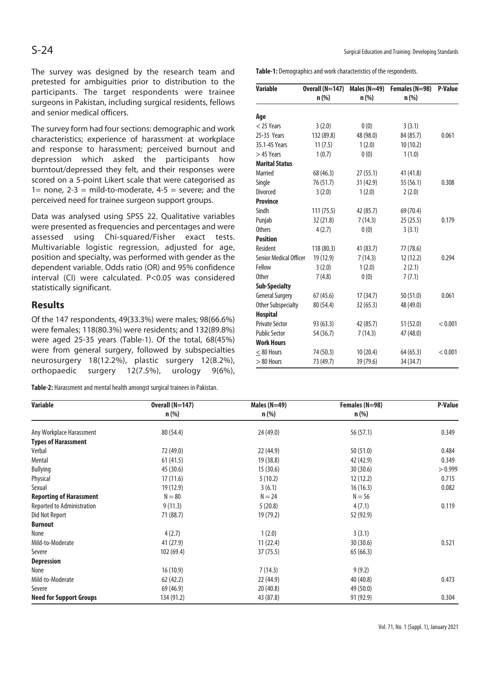The survey was designed by the research team and pretested for ambiguities prior to distribution to the participants. The target respondents were trainee surgeons in Pakistan, including surgical residents, fellows and senior medical officers.

The survey form had four sections: demographic and work characteristics; experience of harassment at workplace and response to harassment; perceived burnout and depression which asked the participants how burntout/depressed they felt, and their responses were scored on a 5-point Likert scale that were categorised as 1= none,  $2-3$  = mild-to-moderate,  $4-5$  = severe; and the perceived need for trainee surgeon support groups.

Data was analysed using SPSS 22. Qualitative variables were presented as frequencies and percentages and were assessed using Chi-squared/Fisher exact tests. Multivariable logistic regression, adjusted for age, position and specialty, was performed with gender as the dependent variable. Odds ratio (OR) and 95% confidence interval (CI) were calculated. P<0.05 was considered statistically significant.

# **Results**

Of the 147 respondents, 49(33.3%) were males; 98(66.6%) were females; 118(80.3%) were residents; and 132(89.8%) were aged 25-35 years (Table-1). Of the total, 68(45%) were from general surgery, followed by subspecialties neurosurgery 18(12.2%), plastic surgery 12(8.2%), orthopaedic surgery 12(7.5%), urology 9(6%),

**Table-2:** Harassment and mental health amongst surgical trainees in Pakistan.

S-24 Surgical Education and Training: Developing Standards

**Table-1:** Demographics and work characteristics of the respondents.

| <b>Variable</b>               | Overall (N=147) | Males ( $N=49$ ) | Females (N=98) | P-Value |
|-------------------------------|-----------------|------------------|----------------|---------|
|                               | $n$ (%)         | $n$ (%)          | n (%)          |         |
|                               |                 |                  |                |         |
| Age                           |                 |                  |                |         |
| $<$ 25 Years                  | 3(2.0)          | 0(0)             | 3(3.1)         |         |
| 25-35 Years                   | 132 (89.8)      | 48 (98.0)        | 84 (85.7)      | 0.061   |
| 35.1-45 Years                 | 11(7.5)         | 1(2.0)           | 10 (10.2)      |         |
| $>45$ Years                   | 1(0.7)          | 0(0)             | 1(1.0)         |         |
| <b>Marital Status</b>         |                 |                  |                |         |
| Married                       | 68 (46.3)       | 27(55.1)         | 41 (41.8)      |         |
| Single                        | 76 (51.7)       | 31 (42.9)        | 55 (56.1)      | 0.308   |
| <b>Divorced</b>               | 3(2.0)          | 1(2.0)           | 2(2.0)         |         |
| <b>Province</b>               |                 |                  |                |         |
| Sindh                         | 111(75.5)       | 42 (85.7)        | 69 (70.4)      |         |
| Punjab                        | 32 (21.8)       | 7(14.3)          | 25 (25.5)      | 0.179   |
| <b>Others</b>                 | 4(2.7)          | 0(0)             | 3(3.1)         |         |
| <b>Position</b>               |                 |                  |                |         |
| Resident                      | 118 (80.3)      | 41 (83.7)        | 77 (78.6)      |         |
| <b>Senior Medical Officer</b> | 19 (12.9)       | 7(14.3)          | 12(12.2)       | 0.294   |
| Fellow                        | 3(2.0)          | 1(2.0)           | 2(2.1)         |         |
| <b>Other</b>                  | 7(4.8)          | 0(0)             | 7(7.1)         |         |
| <b>Sub-Specialty</b>          |                 |                  |                |         |
| <b>General Surgery</b>        | 67(45.6)        | 17(34.7)         | 50 (51.0)      | 0.061   |
| <b>Other Subspecialty</b>     | 80 (54.4)       | 32(65.3)         | 48 (49.0)      |         |
| <b>Hospital</b>               |                 |                  |                |         |
| <b>Private Sector</b>         | 93 (63.3)       | 42 (85.7)        | 51 (52.0)      | < 0.001 |
| <b>Public Sector</b>          | 54 (36.7)       | 7(14.3)          | 47 (48.0)      |         |
| <b>Work Hours</b>             |                 |                  |                |         |
| $< 80$ Hours                  | 74 (50.3)       | 10 (20.4)        | 64 (65.3)      | < 0.001 |
| $> 80$ Hours                  | 73 (49.7)       | 39 (79.6)        | 34 (34.7)      |         |

| <b>Variable</b>                | Overall (N=147) | Males $(N=49)$ | Females (N=98) | <b>P-Value</b> |
|--------------------------------|-----------------|----------------|----------------|----------------|
|                                | $n$ (%)         | $n$ (%)        | $n$ (%)        |                |
| Any Workplace Harassment       | 80 (54.4)       | 24 (49.0)      | 56 (57.1)      | 0.349          |
| <b>Types of Harassment</b>     |                 |                |                |                |
| Verbal                         | 72 (49.0)       | 22 (44.9)      | 50 (51.0)      | 0.484          |
| Mental                         | 61(41.5)        | 19 (38.8)      | 42 (42.9)      | 0.349          |
| Bullying                       | 45 (30.6)       | 15(30.6)       | 30 (30.6)      | > 0.999        |
| Physical                       | 17(11.6)        | 5(10.2)        | 12(12.2)       | 0.715          |
| Sexual                         | 19 (12.9)       | 3(6.1)         | 16(16.3)       | 0.082          |
| <b>Reporting of Harassment</b> | $N = 80$        | $N = 24$       | $N = 56$       |                |
| Reported to Administration     | 9(11.3)         | 5(20.8)        | 4(7.1)         | 0.119          |
| Did Not Report                 | 71 (88.7)       | 19 (79.2)      | 52 (92.9)      |                |
| <b>Burnout</b>                 |                 |                |                |                |
| None                           | 4(2.7)          | 1(2.0)         | 3(3.1)         |                |
| Mild-to-Moderate               | 41(27.9)        | 11(22.4)       | 30(30.6)       | 0.521          |
| Severe                         | 102(69.4)       | 37 (75.5)      | 65(66.3)       |                |
| <b>Depression</b>              |                 |                |                |                |
| None                           | 16(10.9)        | 7(14.3)        | 9(9.2)         |                |
| Mild-to-Moderate               | 62(42.2)        | 22 (44.9)      | 40 (40.8)      | 0.473          |
| Severe                         | 69 (46.9)       | 20(40.8)       | 49 (50.0)      |                |
| <b>Need for Support Groups</b> | 134 (91.2)      | 43 (87.8)      | 91 (92.9)      | 0.304          |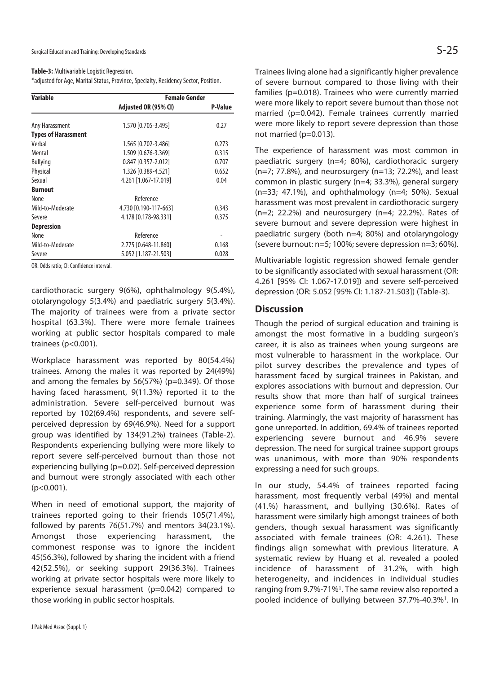#### **Table-3:** Multivariable Logistic Regression.

\*adjusted for Age, Marital Status, Province, Specialty, Residency Sector, Position.

| <b>Variable</b>            | <b>Female Gender</b>  |                |  |
|----------------------------|-----------------------|----------------|--|
|                            | Adjusted OR (95% CI)  | <b>P-Value</b> |  |
| Any Harassment             | 1.570 [0.705-3.495]   | 0.27           |  |
| <b>Types of Harassment</b> |                       |                |  |
| Verbal                     | 1.565 [0.702-3.486]   | 0.273          |  |
| Mental                     | 1.509 [0.676-3.369]   | 0.315          |  |
| <b>Bullying</b>            | 0.847 [0.357-2.012]   | 0.707          |  |
| Physical                   | 1.326 [0.389-4.521]   | 0.652          |  |
| Sexual                     | 4.261 [1.067-17.019]  | 0.04           |  |
| <b>Burnout</b>             |                       |                |  |
| None                       | Reference             |                |  |
| Mild-to-Moderate           | 4.730 [0.190-117-663] | 0.343          |  |
| Severe                     | 4.178 [0.178-98.331]  | 0.375          |  |
| <b>Depression</b>          |                       |                |  |
| None                       | Reference             |                |  |
| Mild-to-Moderate           | 2.775 [0.648-11.860]  | 0.168          |  |
| Severe                     | 5.052 [1.187-21.503]  | 0.028          |  |

OR: Odds ratio; CI: Confidence interval.

cardiothoracic surgery 9(6%), ophthalmology 9(5.4%), otolaryngology 5(3.4%) and paediatric surgery 5(3.4%). The majority of trainees were from a private sector hospital (63.3%). There were more female trainees working at public sector hospitals compared to male trainees (p<0.001).

Workplace harassment was reported by 80(54.4%) trainees. Among the males it was reported by 24(49%) and among the females by 56(57%) (p=0.349). Of those having faced harassment, 9(11.3%) reported it to the administration. Severe self-perceived burnout was reported by 102(69.4%) respondents, and severe selfperceived depression by 69(46.9%). Need for a support group was identified by 134(91.2%) trainees (Table-2). Respondents experiencing bullying were more likely to report severe self-perceived burnout than those not experiencing bullying (p=0.02). Self-perceived depression and burnout were strongly associated with each other (p<0.001).

When in need of emotional support, the majority of trainees reported going to their friends 105(71.4%), followed by parents 76(51.7%) and mentors 34(23.1%). Amongst those experiencing harassment, the commonest response was to ignore the incident 45(56.3%), followed by sharing the incident with a friend 42(52.5%), or seeking support 29(36.3%). Trainees working at private sector hospitals were more likely to experience sexual harassment (p=0.042) compared to those working in public sector hospitals.

Trainees living alone had a significantly higher prevalence of severe burnout compared to those living with their families (p=0.018). Trainees who were currently married were more likely to report severe burnout than those not married (p=0.042). Female trainees currently married were more likely to report severe depression than those not married (p=0.013).

The experience of harassment was most common in paediatric surgery (n=4; 80%), cardiothoracic surgery (n=7; 77.8%), and neurosurgery (n=13; 72.2%), and least common in plastic surgery (n=4; 33.3%), general surgery (n=33; 47.1%), and ophthalmology (n=4; 50%). Sexual harassment was most prevalent in cardiothoracic surgery  $(n=2; 22.2%)$  and neurosurgery  $(n=4; 22.2%)$ . Rates of severe burnout and severe depression were highest in paediatric surgery (both n=4; 80%) and otolaryngology (severe burnout: n=5; 100%; severe depression n=3; 60%).

Multivariable logistic regression showed female gender to be significantly associated with sexual harassment (OR: 4.261 [95% CI: 1.067-17.019]) and severe self-perceived depression (OR: 5.052 [95% CI: 1.187-21.503]) (Table-3).

# **Discussion**

Though the period of surgical education and training is amongst the most formative in a budding surgeon's career, it is also as trainees when young surgeons are most vulnerable to harassment in the workplace. Our pilot survey describes the prevalence and types of harassment faced by surgical trainees in Pakistan, and explores associations with burnout and depression. Our results show that more than half of surgical trainees experience some form of harassment during their training. Alarmingly, the vast majority of harassment has gone unreported. In addition, 69.4% of trainees reported experiencing severe burnout and 46.9% severe depression. The need for surgical trainee support groups was unanimous, with more than 90% respondents expressing a need for such groups.

In our study, 54.4% of trainees reported facing harassment, most frequently verbal (49%) and mental (41.%) harassment, and bullying (30.6%). Rates of harassment were similarly high amongst trainees of both genders, though sexual harassment was significantly associated with female trainees (OR: 4.261). These findings align somewhat with previous literature. A systematic review by Huang et al. revealed a pooled incidence of harassment of 31.2%, with high heterogeneity, and incidences in individual studies ranging from 9.7%-71%<sup>1</sup>. The same review also reported a pooled incidence of bullying between 37.7%-40.3%<sup>1</sup>. In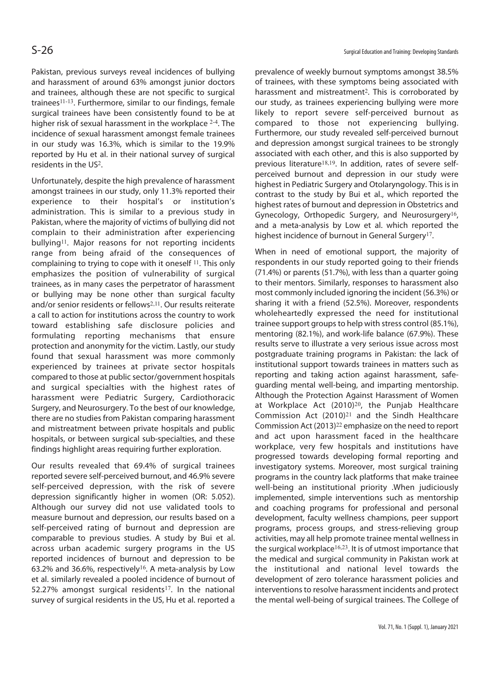Pakistan, previous surveys reveal incidences of bullying and harassment of around 63% amongst junior doctors and trainees, although these are not specific to surgical trainees11-13. Furthermore, similar to our findings, female surgical trainees have been consistently found to be at higher risk of sexual harassment in the workplace <sup>2-4</sup>. The incidence of sexual harassment amongst female trainees in our study was 16.3%, which is similar to the 19.9% reported by Hu et al. in their national survey of surgical residents in the US<sup>2</sup>.

Unfortunately, despite the high prevalence of harassment amongst trainees in our study, only 11.3% reported their experience to their hospital's or institution's administration. This is similar to a previous study in Pakistan, where the majority of victims of bullying did not complain to their administration after experiencing bullying<sup>11</sup>. Major reasons for not reporting incidents range from being afraid of the consequences of complaining to trying to cope with it oneself <sup>11</sup>. This only emphasizes the position of vulnerability of surgical trainees, as in many cases the perpetrator of harassment or bullying may be none other than surgical faculty and/or senior residents or fellows<sup>2,11</sup>. Our results reiterate a call to action for institutions across the country to work toward establishing safe disclosure policies and formulating reporting mechanisms that ensure protection and anonymity for the victim. Lastly, our study found that sexual harassment was more commonly experienced by trainees at private sector hospitals compared to those at public sector/government hospitals and surgical specialties with the highest rates of harassment were Pediatric Surgery, Cardiothoracic Surgery, and Neurosurgery. To the best of our knowledge, there are no studies from Pakistan comparing harassment and mistreatment between private hospitals and public hospitals, or between surgical sub-specialties, and these findings highlight areas requiring further exploration.

Our results revealed that 69.4% of surgical trainees reported severe self-perceived burnout, and 46.9% severe self-perceived depression, with the risk of severe depression significantly higher in women (OR: 5.052). Although our survey did not use validated tools to measure burnout and depression, our results based on a self-perceived rating of burnout and depression are comparable to previous studies. A study by Bui et al. across urban academic surgery programs in the US reported incidences of burnout and depression to be 63.2% and 36.6%, respectively<sup>16</sup>. A meta-analysis by Low et al. similarly revealed a pooled incidence of burnout of 52.27% amongst surgical residents<sup>17</sup>. In the national survey of surgical residents in the US, Hu et al. reported a

prevalence of weekly burnout symptoms amongst 38.5% of trainees, with these symptoms being associated with harassment and mistreatment<sup>2</sup>. This is corroborated by our study, as trainees experiencing bullying were more likely to report severe self-perceived burnout as compared to those not experiencing bullying. Furthermore, our study revealed self-perceived burnout and depression amongst surgical trainees to be strongly associated with each other, and this is also supported by previous literature18,19. In addition, rates of severe selfperceived burnout and depression in our study were highest in Pediatric Surgery and Otolaryngology. This is in contrast to the study by Bui et al., which reported the highest rates of burnout and depression in Obstetrics and Gynecology, Orthopedic Surgery, and Neurosurgery<sup>16</sup>, and a meta-analysis by Low et al. which reported the highest incidence of burnout in General Surgery<sup>17</sup>.

When in need of emotional support, the majority of respondents in our study reported going to their friends (71.4%) or parents (51.7%), with less than a quarter going to their mentors. Similarly, responses to harassment also most commonly included ignoring the incident (56.3%) or sharing it with a friend (52.5%). Moreover, respondents wholeheartedly expressed the need for institutional trainee support groups to help with stress control (85.1%), mentoring (82.1%), and work-life balance (67.9%). These results serve to illustrate a very serious issue across most postgraduate training programs in Pakistan: the lack of institutional support towards trainees in matters such as reporting and taking action against harassment, safeguarding mental well-being, and imparting mentorship. Although the Protection Against Harassment of Women at Workplace Act (2010)<sup>20</sup>, the Punjab Healthcare Commission Act (2010)<sup>21</sup> and the Sindh Healthcare Commission Act (2013)<sup>22</sup> emphasize on the need to report and act upon harassment faced in the healthcare workplace, very few hospitals and institutions have progressed towards developing formal reporting and investigatory systems. Moreover, most surgical training programs in the country lack platforms that make trainee well-being an institutional priority .When judiciously implemented, simple interventions such as mentorship and coaching programs for professional and personal development, faculty wellness champions, peer support programs, process groups, and stress-relieving group activities, may all help promote trainee mental wellness in the surgical workplace<sup>16,23</sup>. It is of utmost importance that the medical and surgical community in Pakistan work at the institutional and national level towards the development of zero tolerance harassment policies and interventions to resolve harassment incidents and protect the mental well-being of surgical trainees. The College of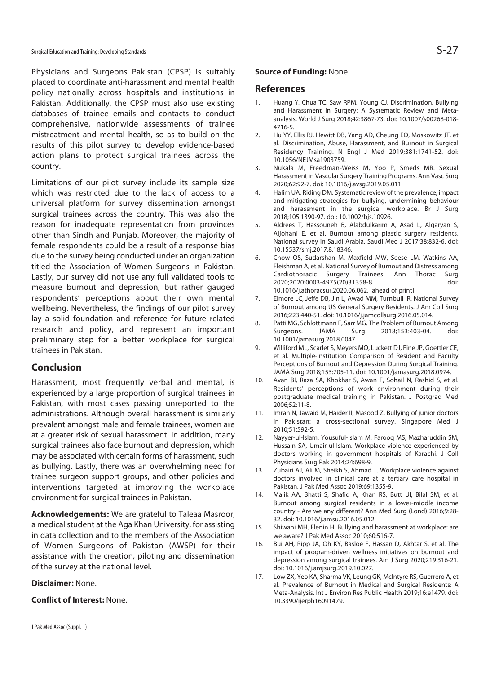Physicians and Surgeons Pakistan (CPSP) is suitably placed to coordinate anti-harassment and mental health policy nationally across hospitals and institutions in Pakistan. Additionally, the CPSP must also use existing databases of trainee emails and contacts to conduct comprehensive, nationwide assessments of trainee mistreatment and mental health, so as to build on the results of this pilot survey to develop evidence-based action plans to protect surgical trainees across the country.

Limitations of our pilot survey include its sample size which was restricted due to the lack of access to a universal platform for survey dissemination amongst surgical trainees across the country. This was also the reason for inadequate representation from provinces other than Sindh and Punjab. Moreover, the majority of female respondents could be a result of a response bias due to the survey being conducted under an organization titled the Association of Women Surgeons in Pakistan. Lastly, our survey did not use any full validated tools to measure burnout and depression, but rather gauged respondents' perceptions about their own mental wellbeing. Nevertheless, the findings of our pilot survey lay a solid foundation and reference for future related research and policy, and represent an important preliminary step for a better workplace for surgical trainees in Pakistan.

# **Conclusion**

Harassment, most frequently verbal and mental, is experienced by a large proportion of surgical trainees in Pakistan, with most cases passing unreported to the administrations. Although overall harassment is similarly prevalent amongst male and female trainees, women are at a greater risk of sexual harassment. In addition, many surgical trainees also face burnout and depression, which may be associated with certain forms of harassment, such as bullying. Lastly, there was an overwhelming need for trainee surgeon support groups, and other policies and interventions targeted at improving the workplace environment for surgical trainees in Pakistan.

**Acknowledgements:** We are grateful to Taleaa Masroor, a medical student at the Aga Khan University, for assisting in data collection and to the members of the Association of Women Surgeons of Pakistan (AWSP) for their assistance with the creation, piloting and dissemination of the survey at the national level.

### **Disclaimer:** None.

**Conflict of Interest:** None.

## **Source of Funding:** None.

### **References**

- 1. Huang Y, Chua TC, Saw RPM, Young CJ. Discrimination, Bullying and Harassment in Surgery: A Systematic Review and Metaanalysis. World J Surg 2018;42:3867-73. doi: 10.1007/s00268-018- 4716-5.
- 2. Hu YY, Ellis RJ, Hewitt DB, Yang AD, Cheung EO, Moskowitz JT, et al. Discrimination, Abuse, Harassment, and Burnout in Surgical Residency Training. N Engl J Med 2019;381:1741-52. doi: 10.1056/NEJMsa1903759.
- 3. Nukala M, Freedman-Weiss M, Yoo P, Smeds MR. Sexual Harassment in Vascular Surgery Training Programs. Ann Vasc Surg 2020;62:92-7. doi: 10.1016/j.avsg.2019.05.011.
- 4. Halim UA, Riding DM. Systematic review of the prevalence, impact and mitigating strategies for bullying, undermining behaviour and harassment in the surgical workplace. Br J Surg 2018;105:1390-97. doi: 10.1002/bjs.10926.
- 5. Aldrees T, Hassouneh B, Alabdulkarim A, Asad L, Alqaryan S, Aljohani E, et al. Burnout among plastic surgery residents. National survey in Saudi Arabia. Saudi Med J 2017;38:832-6. doi: 10.15537/smj.2017.8.18346.
- 6. Chow OS, Sudarshan M, Maxfield MW, Seese LM, Watkins AA, Fleishman A, et al. National Survey of Burnout and Distress among Cardiothoracic Surgery Trainees. Ann Thorac Surg 2020;2020:0003-4975(20)31358-8. doi: 10.1016/j.athoracsur.2020.06.062. [ahead of print]
- 7. Elmore LC, Jeffe DB, Jin L, Awad MM, Turnbull IR. National Survey of Burnout among US General Surgery Residents. J Am Coll Surg 2016;223:440-51. doi: 10.1016/j.jamcollsurg.2016.05.014.
- 8. Patti MG, Schlottmann F, Sarr MG. The Problem of Burnout Among Surgeons. JAMA Surg 2018;153:403-04. doi: 10.1001/jamasurg.2018.0047.
- 9. Williford ML, Scarlet S, Meyers MO, Luckett DJ, Fine JP, Goettler CE, et al. Multiple-Institution Comparison of Resident and Faculty Perceptions of Burnout and Depression During Surgical Training. JAMA Surg 2018;153:705-11. doi: 10.1001/jamasurg.2018.0974.
- 10. Avan BI, Raza SA, Khokhar S, Awan F, Sohail N, Rashid S, et al. Residents' perceptions of work environment during their postgraduate medical training in Pakistan. J Postgrad Med 2006;52:11-8.
- 11. Imran N, Jawaid M, Haider II, Masood Z. Bullying of junior doctors in Pakistan: a cross-sectional survey. Singapore Med J 2010;51:592-5.
- 12. Nayyer-ul-Islam, Yousuful-Islam M, Farooq MS, Mazharuddin SM, Hussain SA, Umair-ul-Islam. Workplace violence experienced by doctors working in government hospitals of Karachi. J Coll Physicians Surg Pak 2014;24:698-9.
- 13. Zubairi AJ, Ali M, Sheikh S, Ahmad T. Workplace violence against doctors involved in clinical care at a tertiary care hospital in Pakistan. J Pak Med Assoc 2019;69:1355-9.
- 14. Malik AA, Bhatti S, Shafiq A, Khan RS, Butt UI, Bilal SM, et al. Burnout among surgical residents in a lower-middle income country - Are we any different? Ann Med Surg (Lond) 2016;9:28- 32. doi: 10.1016/j.amsu.2016.05.012.
- 15. Shiwani MH, Elenin H. Bullying and harassment at workplace: are we aware? J Pak Med Assoc 2010;60:516-7.
- 16. Bui AH, Ripp JA, Oh KY, Basloe F, Hassan D, Akhtar S, et al. The impact of program-driven wellness initiatives on burnout and depression among surgical trainees. Am J Surg 2020;219:316-21. doi: 10.1016/j.amjsurg.2019.10.027.
- 17. Low ZX, Yeo KA, Sharma VK, Leung GK, McIntyre RS, Guerrero A, et al. Prevalence of Burnout in Medical and Surgical Residents: A Meta-Analysis. Int J Environ Res Public Health 2019;16:e1479. doi: 10.3390/ijerph16091479.